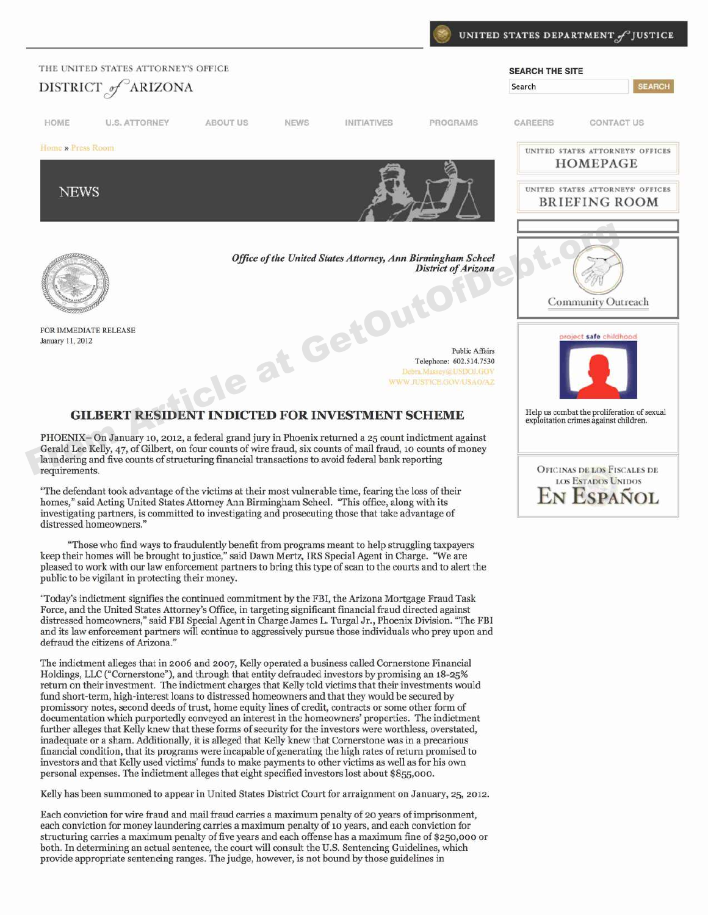

**OFICINAS DE LOS FISCALES DE LOS ESTADOS UNIDOS** 

ESPANOL

PHOENIX-On January 10, 2012, a federal grand jury in Phoenix returned a 25 count indictment against Gerald Lee Kelly, 47, of Gilbert, on four counts of wire fraud, six counts of mail fraud, 10 counts of money laundering and five counts of structuring financial transactions to avoid federal bank reporting requirements.

"The defendant took advantage of the victims at their most vulnerable time, fearing the loss of their homes," said Acting United States Attorney Ann Birmingham Scheel. "This office, along with its investigating partners, is committed to investigating and prosecuting those that take advantage of distressed homeowners.'

"Those who find ways to fraudulently benefit from programs meant to help struggling taxpayers keep their homes will be brought to justice," said Dawn Mertz, IRS Special Agent in Charge. "We are pleased to work with our law enforcement partners to bring this type of scan to the courts and to alert the public to be vigilant in protecting their money.

"Today's indictment signifies the continued commitment by the FBI, the Arizona Mortgage Fraud Task Force, and the United States Attorney's Office, in targeting significant financial fraud directed against distressed homeowners," said FBI Special Agent in Charge James L. Turgal Jr., Phoenix Division. "The FBI and its law enforcement partners will continue to aggressively pursue those individuals who prey upon and defraud the citizens of Arizona."

The indictment alleges that in 2006 and 2007, Kelly operated a business called Cornerstone Financial Holdings, LLC ("Cornerstone"), and through that entity defrauded investors by promising an 18-25% return on their investment. The indictment charges that Kelly told victims that their investments would fund short-term, high-interest loans to distressed homeowners and that they would be secured by promissory notes, second deeds of trust, home equity lines of credit, contracts or some other form of documentation which purportedly conveyed an interest in the homeowners' properties. The indictment further alleges that Kelly knew that these forms of security for the investors were worthless, overstated, inadequate or a sham. Additionally, it is alleged that Kelly knew that Cornerstone was in a precarious financial condition, that its programs were incapable of generating the high rates of return promised to investors and that Kelly used victims' funds to make payments to other victims as well as for his own personal expenses. The indictment alleges that eight specified investors lost about \$855,000.

Kelly has been summoned to appear in United States District Court for arraignment on January, 25, 2012.

Each conviction for wire fraud and mail fraud carries a maximum penalty of 20 years of imprisonment, each conviction for money laundering carries a maximum penalty of 10 years, and each conviction for structuring carries a maximum penalty of five years and each offense has a maximum fine of \$250,000 or both. In determining an actual sentence, the court will consult the U.S. Sentencing Guidelines, which provide appropriate sentencing ranges. The judge, however, is not bound by those guidelines in